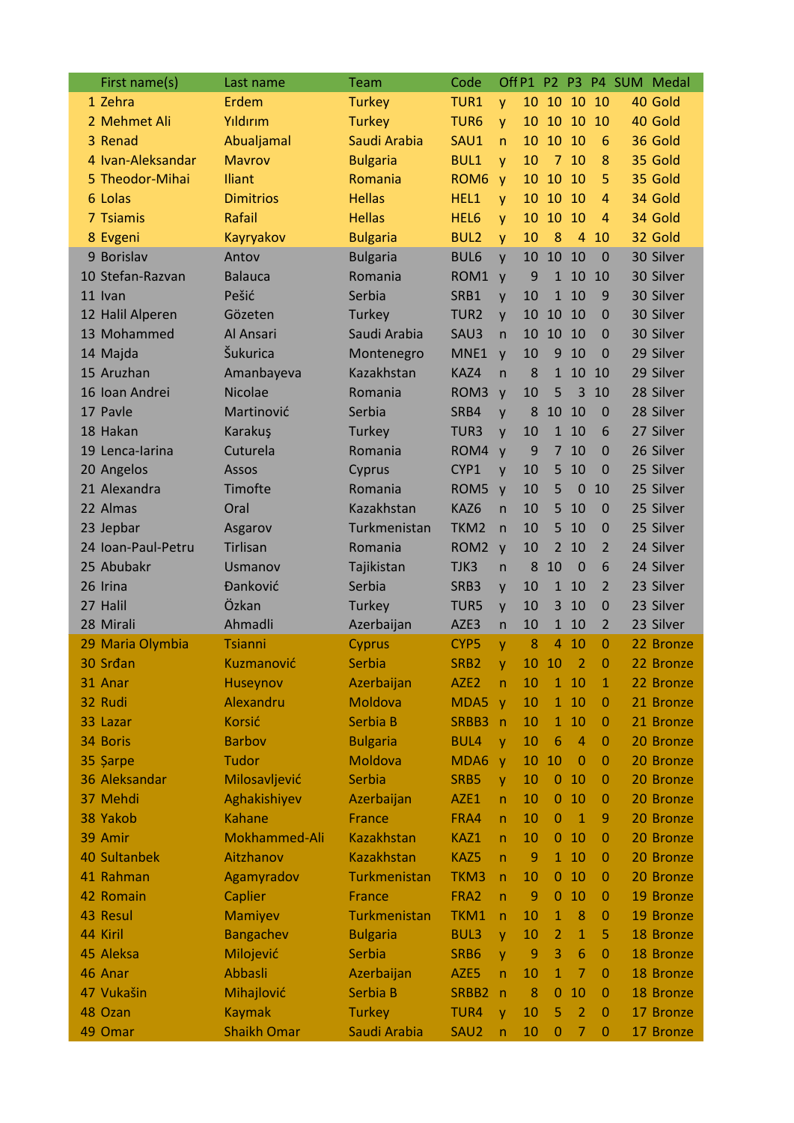| First name(s)      | Last name          | Team              | Code             |                         |                | Off P1 P2 P3   |                |                        | P4 SUM Medal |
|--------------------|--------------------|-------------------|------------------|-------------------------|----------------|----------------|----------------|------------------------|--------------|
| 1 Zehra            | Erdem              | <b>Turkey</b>     | TUR1             | y                       | 10             | 10             | 10             | 10                     | 40 Gold      |
| 2 Mehmet Ali       | Yıldırım           | <b>Turkey</b>     | TUR <sub>6</sub> | y                       | 10             | 10             | 10             | 10                     | 40 Gold      |
| 3 Renad            | Abualjamal         | Saudi Arabia      | SAU1             | $\mathsf{n}$            | 10             | 10             | 10             | $6\phantom{1}6$        | 36 Gold      |
| 4 Ivan-Aleksandar  | <b>Mavrov</b>      | <b>Bulgaria</b>   | <b>BUL1</b>      | y                       | 10             | $\overline{7}$ | 10             | 8                      | 35 Gold      |
| 5 Theodor-Mihai    | <b>Iliant</b>      | Romania           | ROM <sub>6</sub> | y                       | 10             | 10             | 10             | 5                      | 35 Gold      |
| 6 Lolas            | <b>Dimitrios</b>   | <b>Hellas</b>     | HEL1             | y                       | 10             | 10             | 10             | $\boldsymbol{\Lambda}$ | 34 Gold      |
| 7 Tsiamis          | <b>Rafail</b>      | <b>Hellas</b>     | HEL6             | y                       | 10             | 10             | 10             | $\overline{a}$         | 34 Gold      |
| 8 Evgeni           | Kayryakov          | <b>Bulgaria</b>   | <b>BUL2</b>      | y                       | 10             | 8              | $\overline{4}$ | 10                     | 32 Gold      |
| 9 Borislav         | Antov              | <b>Bulgaria</b>   | BUL6             | $\mathsf{V}$            | 10             | 10             | 10             | $\overline{0}$         | 30 Silver    |
| 10 Stefan-Razvan   | <b>Balauca</b>     | Romania           | ROM1             | $\mathsf{V}$            | 9              | $\mathbf{1}$   | 10             | 10                     | 30 Silver    |
| 11 Ivan            | Pešić              | Serbia            | SRB1             | y                       | 10             | $\mathbf{1}$   | 10             | 9                      | 30 Silver    |
| 12 Halil Alperen   | Gözeten            | Turkey            | TUR <sub>2</sub> | $\mathsf{V}$            | 10             | 10             | 10             | $\mathbf 0$            | 30 Silver    |
| 13 Mohammed        | Al Ansari          | Saudi Arabia      | SAU3             | $\mathsf{n}$            | 10             | 10             | 10             | $\overline{0}$         | 30 Silver    |
| 14 Majda           | Šukurica           | Montenegro        | MNE1             | $\mathsf{V}$            | 10             | 9              | 10             | $\overline{0}$         | 29 Silver    |
| 15 Aruzhan         | Amanbayeva         | Kazakhstan        | KAZ4             | $\overline{n}$          | 8              | $\mathbf{1}$   | 10             | 10                     | 29 Silver    |
| 16 Ioan Andrei     | <b>Nicolae</b>     | Romania           | ROM <sub>3</sub> | y                       | 10             | 5              | 3              | 10                     | 28 Silver    |
| 17 Pavle           | Martinović         | Serbia            | SRB4             | $\mathsf{V}$            | 8              | 10             | 10             | $\mathbf 0$            | 28 Silver    |
| 18 Hakan           | Karakuş            | Turkey            | TUR3             | $\mathsf{V}$            | 10             | $\mathbf{1}$   | 10             | 6                      | 27 Silver    |
| 19 Lenca-larina    | Cuturela           | Romania           | ROM4             | $\mathsf{V}$            | 9              | $\overline{7}$ | 10             | $\Omega$               | 26 Silver    |
| 20 Angelos         | Assos              | Cyprus            | CYP1             |                         | 10             | 5              | 10             | $\overline{0}$         | 25 Silver    |
| 21 Alexandra       | Timofte            | Romania           | ROM <sub>5</sub> | y                       | 10             | 5              | 0              | 10                     | 25 Silver    |
| 22 Almas           | Oral               | Kazakhstan        | KAZ6             | $\mathsf{V}$            | 10             | 5              | 10             | $\mathbf 0$            | 25 Silver    |
|                    |                    |                   |                  | $\overline{\mathsf{n}}$ |                |                |                |                        |              |
| 23 Jepbar          | Asgarov            | Turkmenistan      | TKM <sub>2</sub> | $\mathsf{n}$            | 10             | 5              | 10             | $\mathbf 0$            | 25 Silver    |
| 24 Ioan-Paul-Petru | <b>Tirlisan</b>    | Romania           | ROM <sub>2</sub> | $\mathsf{V}$            | 10             | $\overline{2}$ | 10             | $\overline{2}$         | 24 Silver    |
| 25 Abubakr         | Usmanov            | Tajikistan        | TJK3             | $\mathsf{n}$            | 8              | 10             | $\mathbf 0$    | 6                      | 24 Silver    |
| 26 Irina           | <b>Đanković</b>    | Serbia            | SRB3             | y                       | 10             | $\mathbf{1}$   | 10             | 2                      | 23 Silver    |
| 27 Halil           | Özkan              | Turkey            | TUR5             | y                       | 10             | 3              | 10             | $\mathbf 0$            | 23 Silver    |
| 28 Mirali          | Ahmadli            | Azerbaijan        | AZE3             | $\mathsf{n}$            | 10             | $\mathbf{1}$   | 10             | $\overline{2}$         | 23 Silver    |
| 29 Maria Olymbia   | <b>Tsianni</b>     | Cyprus            | CYP <sub>5</sub> | V                       | 8              | $\overline{4}$ | 10             | $\overline{0}$         | 22 Bronze    |
| 30 Srdan           | Kuzmanović         | <b>Serbia</b>     | SRB <sub>2</sub> | V                       | 10             | 10             | $\overline{2}$ | 0                      | 22 Bronze    |
| 31 Anar            | Huseynov           | Azerbaijan        | AZE <sub>2</sub> | n                       | 10             |                | 1 10           | $\mathbf{1}$           | 22 Bronze    |
| 32 Rudi            | Alexandru          | Moldova           | MDA5             | $\mathsf{y}$            | 10             | $\mathbf{1}$   | 10             | $\mathbf 0$            | 21 Bronze    |
| 33 Lazar           | <b>Korsić</b>      | Serbia B          | SRBB3            | $\mathsf{n}$            | 10             | 1              | 10             | 0                      | 21 Bronze    |
| 34 Boris           | <b>Barbov</b>      | <b>Bulgaria</b>   | <b>BUL4</b>      | y                       | 10             | 6              | $\overline{4}$ | $\mathbf 0$            | 20 Bronze    |
| 35 Şarpe           | <b>Tudor</b>       | Moldova           | MDA6             | <b>V</b>                | 10             | 10             | $\mathbf 0$    | $\mathbf 0$            | 20 Bronze    |
| 36 Aleksandar      | Milosavljević      | Serbia            | SRB5             | $\mathsf{V}$            | 10             | $\mathbf{0}$   | 10             | $\mathbf 0$            | 20 Bronze    |
| 37 Mehdi           | Aghakishiyev       | Azerbaijan        | AZE1             | $\mathsf{n}$            | 10             | $\bf{0}$       | 10             | $\mathbf 0$            | 20 Bronze    |
| 38 Yakob           | <b>Kahane</b>      | France            | FRA4             | $\mathsf{n}$            | 10             | 0              | $\mathbf{1}$   | 9                      | 20 Bronze    |
| 39 Amir            | Mokhammed-Ali      | <b>Kazakhstan</b> | KAZ1             | $\mathsf{n}$            | 10             | 0              | 10             | $\mathbf 0$            | 20 Bronze    |
| 40 Sultanbek       | Aitzhanov          | <b>Kazakhstan</b> | KAZ5             | $\mathsf{n}$            | $\overline{9}$ | 1              | 10             | 0                      | 20 Bronze    |
| 41 Rahman          | Agamyradov         | Turkmenistan      | TKM3             | $\mathsf{n}$            | 10             | $\mathbf{0}$   | 10             | $\mathbf 0$            | 20 Bronze    |
| 42 Romain          | <b>Caplier</b>     | France            | FRA2             | $\mathsf{n}$            | 9              | 0              | 10             | $\mathbf 0$            | 19 Bronze    |
| 43 Resul           | Mamiyev            | Turkmenistan      | TKM1             | $\mathsf{n}$            | 10             | 1              | 8              | $\mathbf 0$            | 19 Bronze    |
| 44 Kiril           | Bangachev          | <b>Bulgaria</b>   | <b>BUL3</b>      | y                       | 10             | 2              | $\mathbf{1}$   | 5                      | 18 Bronze    |
| 45 Aleksa          | Milojević          | Serbia            | SRB6             | $\mathsf{V}$            | 9              | 3              | 6              | $\mathbf{0}$           | 18 Bronze    |
| 46 Anar            | <b>Abbasli</b>     | Azerbaijan        | AZE5             | $\overline{n}$          | 10             | 1              | 7              | $\mathbf 0$            | 18 Bronze    |
| 47 Vukašin         | Mihajlović         | Serbia B          | SRBB2            | $\mathsf{n}$            | 8              | $\bf{0}$       | 10             | $\mathbf 0$            | 18 Bronze    |
| 48 Ozan            | <b>Kaymak</b>      | <b>Turkey</b>     | TUR4             | y                       | 10             | 5              | $\overline{2}$ | $\mathbf{0}$           | 17 Bronze    |
| 49 Omar            | <b>Shaikh Omar</b> | Saudi Arabia      | SAU <sub>2</sub> | $\mathsf{n}$            | 10             | $\bf{0}$       | 7              | $\mathbf{0}$           | 17 Bronze    |
|                    |                    |                   |                  |                         |                |                |                |                        |              |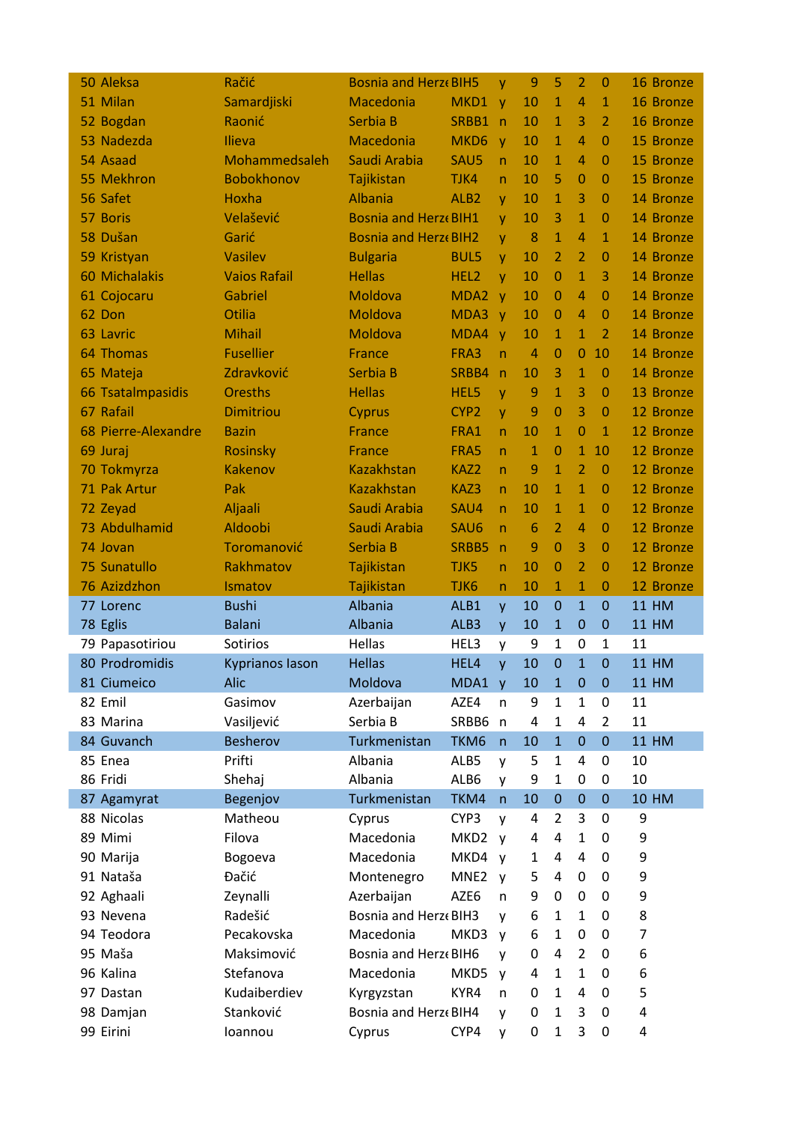| 50 Aleksa              | Račić                  | <b>Bosnia and Herze BIH5</b>    |                  | y            | 9                   | 5                   | 2                                | $\Omega$                       | 16 Bronze          |
|------------------------|------------------------|---------------------------------|------------------|--------------|---------------------|---------------------|----------------------------------|--------------------------------|--------------------|
| 51 Milan               | Samardjiski            | Macedonia                       | MKD1 y           |              | 10                  | 1                   | $\overline{4}$                   | $\mathbf{1}$                   | 16 Bronze          |
| 52 Bogdan              | Raonić                 | Serbia B                        | SRBB1            | n            | 10                  | $\mathbf{1}$        | 3                                | $\overline{2}$                 | 16 Bronze          |
| 53 Nadezda             | Ilieva                 | Macedonia                       | MKD <sub>6</sub> | $\mathbf{V}$ | 10                  | 1                   | $\overline{4}$                   | $\Omega$                       | 15 Bronze          |
| 54 Asaad               | Mohammedsaleh          | Saudi Arabia                    | SAU5             | n.           | 10                  | 1                   | $\overline{4}$                   | $\Omega$                       | 15 Bronze          |
| 55 Mekhron             | Bobokhonov             | Tajikistan                      | TJK4             | n.           | 10                  | 5                   | $\Omega$                         | $\Omega$                       | 15 Bronze          |
| 56 Safet               | Hoxha                  | <b>Albania</b>                  | ALB <sub>2</sub> | y            | 10                  | 1                   | 3                                | $\Omega$                       | 14 Bronze          |
| 57 Boris               | Velašević              | <b>Bosnia and Herze BIH1</b>    |                  | V            | 10                  | 3                   | $\mathbf{1}$                     | $\Omega$                       | 14 Bronze          |
| 58 Dušan               | Garić                  | <b>Bosnia and Herze BIH2</b>    |                  | y            | 8                   | $\mathbf{1}$        | $\overline{4}$                   | $\mathbf{1}$                   | 14 Bronze          |
| 59 Kristyan            | Vasilev                | <b>Bulgaria</b>                 | <b>BUL5</b>      | y            | 10                  | 2                   | $\overline{2}$                   | $\Omega$                       | 14 Bronze          |
| 60 Michalakis          | <b>Vaios Rafail</b>    | <b>Hellas</b>                   | HEL2             | y            | 10                  | $\overline{0}$      | $\mathbf{1}$                     | 3                              | 14 Bronze          |
| 61 Cojocaru            | Gabriel                | Moldova                         | MDA <sub>2</sub> | $\mathbf{V}$ | 10                  | $\overline{0}$      | 4                                | $\Omega$                       | 14 Bronze          |
| 62 Don                 | Otilia                 | Moldova                         | MDA3             | $\mathbf{V}$ | 10                  | 0                   | 4                                | $\Omega$                       | 14 Bronze          |
| 63 Lavric              | <b>Mihail</b>          | Moldova                         | MDA4             | $\mathbf{V}$ | 10                  | $\mathbf{1}$        | $\mathbf{1}$                     | $\overline{2}$                 | 14 Bronze          |
| 64 Thomas              | <b>Fusellier</b>       | <b>France</b>                   | FRA3             | $\mathsf{n}$ | $\overline{4}$      | $\overline{0}$      | $\Omega$                         | 10                             | 14 Bronze          |
| 65 Mateja              | Zdravković             | Serbia B                        | SRBB4            | $\mathsf{n}$ | 10                  | 3                   | $\mathbf{1}$                     | $\mathbf{0}$                   | 14 Bronze          |
| 66 Tsatalmpasidis      | <b>Oresths</b>         | <b>Hellas</b>                   | HEL5             | y            | 9                   | $\mathbf{1}$        | 3                                | $\mathbf{0}$                   | 13 Bronze          |
| 67 Rafail              | <b>Dimitriou</b>       | Cyprus                          | CYP <sub>2</sub> | y            | 9                   | 0                   | 3                                | $\mathbf{0}$                   | 12 Bronze          |
| 68 Pierre-Alexandre    | <b>Bazin</b>           | <b>France</b>                   | FRA1             | n.           | 10                  | $\mathbf{1}$        | $\Omega$                         | $\mathbf{1}$                   | 12 Bronze          |
| 69 Juraj               | <b>Rosinsky</b>        | <b>France</b>                   | FRA5             | n.           | $\mathbf{1}$        | 0                   | $\mathbf{1}$                     | 10                             | 12 Bronze          |
| 70 Tokmyrza            | <b>Kakenov</b>         | <b>Kazakhstan</b>               | KAZ2             | $\mathsf{n}$ | 9                   | $\mathbf{1}$        | 2                                | $\overline{0}$                 | 12 Bronze          |
| 71 Pak Artur           | Pak                    | <b>Kazakhstan</b>               | KAZ3             | n.           | 10                  | $\mathbf{1}$        | $\mathbf{1}$                     | $\mathbf{0}$                   | 12 Bronze          |
| 72 Zeyad               | Aljaali                | Saudi Arabia                    | SAU4             | $\mathsf{n}$ | 10                  | $\mathbf{1}$        | $\mathbf{1}$                     | $\Omega$                       | 12 Bronze          |
| 73 Abdulhamid          | Aldoobi                | Saudi Arabia                    | SAU6             | n.           | $6\phantom{1}6$     | $\overline{2}$      | $\overline{4}$                   | 0                              | 12 Bronze          |
| 74 Jovan               | Toromanović            | Serbia B                        | SRBB5            | $\mathsf{n}$ | 9                   | $\overline{0}$      | 3                                | $\Omega$                       | 12 Bronze          |
|                        |                        |                                 |                  |              |                     |                     |                                  |                                |                    |
|                        |                        |                                 |                  |              |                     |                     |                                  |                                |                    |
| 75 Sunatullo           | Rakhmatov              | Tajikistan                      | TJK5             | n            | 10                  | $\overline{0}$<br>1 | $\overline{2}$                   | $\mathbf{0}$                   | 12 Bronze          |
| 76 Azizdzhon           | Ismatov                | Tajikistan                      | TJK6             | $\mathsf{n}$ | 10                  |                     | $\mathbf{1}$                     | $\mathbf{0}$<br>$\overline{0}$ | 12 Bronze          |
| 77 Lorenc              | <b>Bushi</b>           | Albania                         | ALB1             | y            | 10                  | $\mathbf{0}$<br>1   | $\mathbf{1}$<br>$\mathbf{0}$     | $\mathbf 0$                    | <b>11 HM</b>       |
| 78 Eglis               | Balani                 | Albania                         | ALB3             | y            | 10                  | 1                   |                                  | 1                              | <b>11 HM</b>       |
| 79 Papasotiriou        | Sotirios               | Hellas                          | HEL3             | y            | 9                   | 0                   | 0<br>$\mathbf{1}$                | $\Omega$                       | 11                 |
| 80 Prodromidis         | <b>Kyprianos lason</b> | <b>Hellas</b>                   | HEL4             | V            | 10                  |                     |                                  |                                | <b>11 HM</b>       |
| 81 Ciumeico            | Alic                   | Moldova                         | MDA1 y           | n            | 10                  | $\mathbf{1}$<br>1   | $\boldsymbol{0}$<br>$\mathbf{1}$ | $\boldsymbol{0}$<br>0          | <b>11 HM</b>       |
| 82 Emil<br>83 Marina   | Gasimov                | Azerbaijan                      | AZE4             |              | 9<br>$\overline{4}$ | 1                   |                                  | 2                              | 11                 |
|                        | Vasiljević             | Serbia B                        | SRBB6 n          |              |                     |                     | 4                                | $\mathbf 0$                    | 11<br><b>11 HM</b> |
| 84 Guvanch             | <b>Besherov</b>        | Turkmenistan                    | TKM6             | n            | 10                  | $\mathbf{1}$        | $\mathbf 0$<br>4                 | 0                              |                    |
| 85 Enea                | Prifti                 | Albania                         | ALB5             | y            | 5                   | 1<br>1              |                                  | 0                              | 10                 |
| 86 Fridi               | Shehaj                 | Albania                         | ALB6             | y<br>n       | 9                   |                     | 0                                | $\mathbf{0}$                   | 10                 |
| 87 Agamyrat            | Begenjov               | Turkmenistan                    | TKM4             |              | 10                  | $\mathbf 0$         | $\mathbf 0$                      |                                | <b>10 HM</b>       |
| 88 Nicolas             | Matheou                | Cyprus                          | CYP <sub>3</sub> | y            | 4                   | 2<br>4              | 3<br>$\mathbf{1}$                | 0<br>0                         | 9                  |
| 89 Mimi                | Filova                 | Macedonia                       | MKD2             | V            | 4<br>1              | 4                   |                                  |                                | 9                  |
| 90 Marija              | Bogoeva                | Macedonia                       | MKD4             | $\mathsf{V}$ |                     |                     | 4                                | 0                              | 9                  |
| 91 Nataša              | Đačić                  | Montenegro                      | MNE <sub>2</sub> | <b>V</b>     | 5                   | 4                   | 0                                | 0                              | 9                  |
| 92 Aghaali             | Zeynalli               | Azerbaijan                      | AZE6             | n            | 9                   | 0<br>$\mathbf{1}$   | 0<br>$\mathbf{1}$                | 0<br>0                         | 9                  |
| 93 Nevena              | Radešić                | Bosnia and Herz« BIH3           |                  | v            | 6                   | 1                   |                                  |                                | 8                  |
| 94 Teodora             | Pecakovska             | Macedonia                       | MKD3             | <b>V</b>     | 6                   |                     | 0                                | 0                              | $\overline{7}$     |
| 95 Maša                | Maksimović             | Bosnia and Herz« BIH6           |                  | v            | 0                   | 4                   | $\overline{2}$                   | 0                              | 6                  |
| 96 Kalina              | Stefanova              | Macedonia                       | MKD5             | V            | 4                   | 1                   | $\mathbf{1}$                     | 0                              | 6                  |
| 97 Dastan              | Kudaiberdiev           | Kyrgyzstan                      | KYR4             | n            | 0                   | 1                   | 4                                | 0                              | 5                  |
| 98 Damjan<br>99 Eirini | Stanković<br>Ioannou   | Bosnia and Herz« BIH4<br>Cyprus | CYP4             | y<br>y       | 0<br>0              | 1<br>1              | 3<br>3                           | 0<br>0                         | 4<br>4             |